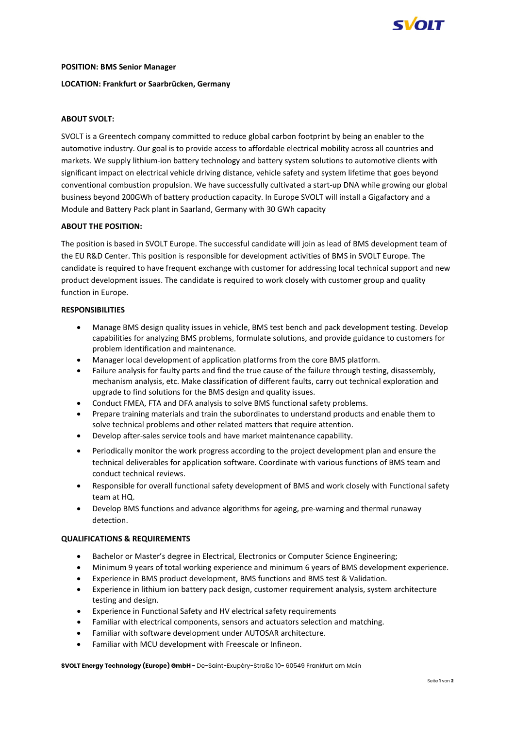

#### **POSITION: BMS Senior Manager**

# **LOCATION: Frankfurt or Saarbrücken, Germany**

# **ABOUT SVOLT:**

SVOLT is a Greentech company committed to reduce global carbon footprint by being an enabler to the automotive industry. Our goal is to provide access to affordable electrical mobility across all countries and markets. We supply lithium-ion battery technology and battery system solutions to automotive clients with significant impact on electrical vehicle driving distance, vehicle safety and system lifetime that goes beyond conventional combustion propulsion. We have successfully cultivated a start-up DNA while growing our global business beyond 200GWh of battery production capacity. In Europe SVOLT will install a Gigafactory and a Module and Battery Pack plant in Saarland, Germany with 30 GWh capacity

### **ABOUT THE POSITION:**

The position is based in SVOLT Europe. The successful candidate will join as lead of BMS development team of the EU R&D Center. This position is responsible for development activities of BMS in SVOLT Europe. The candidate is required to have frequent exchange with customer for addressing local technical support and new product development issues. The candidate is required to work closely with customer group and quality function in Europe.

### **RESPONSIBILITIES**

- Manage BMS design quality issues in vehicle, BMS test bench and pack development testing. Develop capabilities for analyzing BMS problems, formulate solutions, and provide guidance to customers for problem identification and maintenance.
- Manager local development of application platforms from the core BMS platform.
- Failure analysis for faulty parts and find the true cause of the failure through testing, disassembly, mechanism analysis, etc. Make classification of different faults, carry out technical exploration and upgrade to find solutions for the BMS design and quality issues.
- Conduct FMEA, FTA and DFA analysis to solve BMS functional safety problems.
- Prepare training materials and train the subordinates to understand products and enable them to solve technical problems and other related matters that require attention.
- Develop after-sales service tools and have market maintenance capability.
- Periodically monitor the work progress according to the project development plan and ensure the technical deliverables for application software. Coordinate with various functions of BMS team and conduct technical reviews.
- Responsible for overall functional safety development of BMS and work closely with Functional safety team at HQ.
- Develop BMS functions and advance algorithms for ageing, pre-warning and thermal runaway detection.

#### **QUALIFICATIONS & REQUIREMENTS**

- Bachelor or Master's degree in Electrical, Electronics or Computer Science Engineering;
- Minimum 9 years of total working experience and minimum 6 years of BMS development experience.
- Experience in BMS product development, BMS functions and BMS test & Validation.
- Experience in lithium ion battery pack design, customer requirement analysis, system architecture testing and design.
- Experience in Functional Safety and HV electrical safety requirements
- Familiar with electrical components, sensors and actuators selection and matching.
- Familiar with software development under AUTOSAR architecture.
- Familiar with MCU development with Freescale or Infineon.

**SVOLT Energy Technology (Europe) GmbH -** De-Saint-Exupéry-Straße 10**-** 60549 Frankfurt am Main